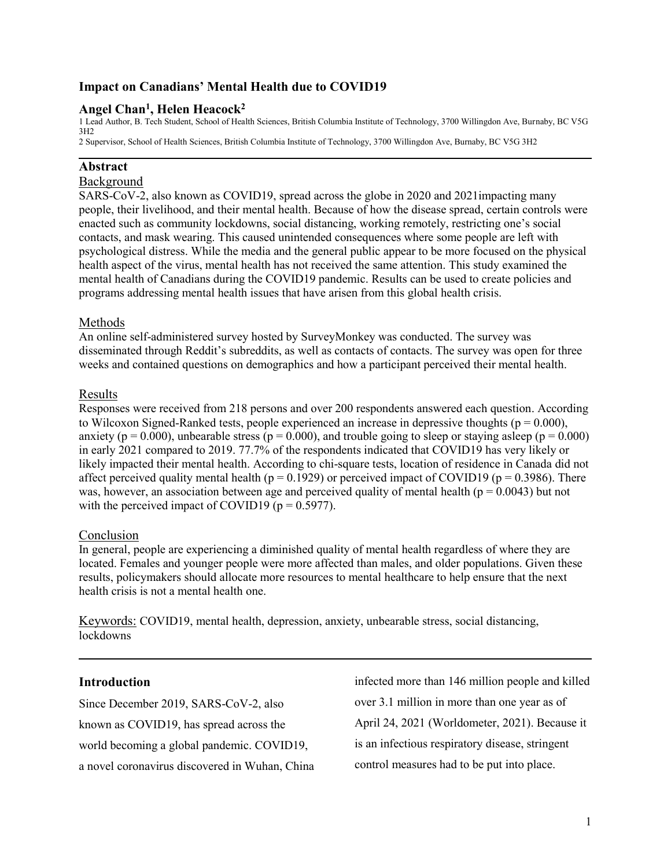# **Impact on Canadians' Mental Health due to COVID19**

# **Angel Chan<sup>1</sup> , Helen Heacock<sup>2</sup>**

1 Lead Author, B. Tech Student, School of Health Sciences, British Columbia Institute of Technology, 3700 Willingdon Ave, Burnaby, BC V5G 3H2 2 Supervisor, School of Health Sciences, British Columbia Institute of Technology, 3700 Willingdon Ave, Burnaby, BC V5G 3H2

### **Abstract**

### Background

SARS-CoV-2, also known as COVID19, spread across the globe in 2020 and 2021impacting many people, their livelihood, and their mental health. Because of how the disease spread, certain controls were enacted such as community lockdowns, social distancing, working remotely, restricting one's social contacts, and mask wearing. This caused unintended consequences where some people are left with psychological distress. While the media and the general public appear to be more focused on the physical health aspect of the virus, mental health has not received the same attention. This study examined the mental health of Canadians during the COVID19 pandemic. Results can be used to create policies and programs addressing mental health issues that have arisen from this global health crisis.

### Methods

An online self-administered survey hosted by SurveyMonkey was conducted. The survey was disseminated through Reddit's subreddits, as well as contacts of contacts. The survey was open for three weeks and contained questions on demographics and how a participant perceived their mental health.

### Results

Responses were received from 218 persons and over 200 respondents answered each question. According to Wilcoxon Signed-Ranked tests, people experienced an increase in depressive thoughts ( $p = 0.000$ ), anxiety ( $p = 0.000$ ), unbearable stress ( $p = 0.000$ ), and trouble going to sleep or staying asleep ( $p = 0.000$ ) in early 2021 compared to 2019. 77.7% of the respondents indicated that COVID19 has very likely or likely impacted their mental health. According to chi-square tests, location of residence in Canada did not affect perceived quality mental health ( $p = 0.1929$ ) or perceived impact of COVID19 ( $p = 0.3986$ ). There was, however, an association between age and perceived quality of mental health ( $p = 0.0043$ ) but not with the perceived impact of COVID19 ( $p = 0.5977$ ).

### Conclusion

In general, people are experiencing a diminished quality of mental health regardless of where they are located. Females and younger people were more affected than males, and older populations. Given these results, policymakers should allocate more resources to mental healthcare to help ensure that the next health crisis is not a mental health one.

Keywords: COVID19, mental health, depression, anxiety, unbearable stress, social distancing, lockdowns

### **Introduction**

Since December 2019, SARS-CoV-2, also known as COVID19, has spread across the world becoming a global pandemic. COVID19, a novel coronavirus discovered in Wuhan, China

infected more than 146 million people and killed over 3.1 million in more than one year as of April 24, 2021 (Worldometer, 2021). Because it is an infectious respiratory disease, stringent control measures had to be put into place.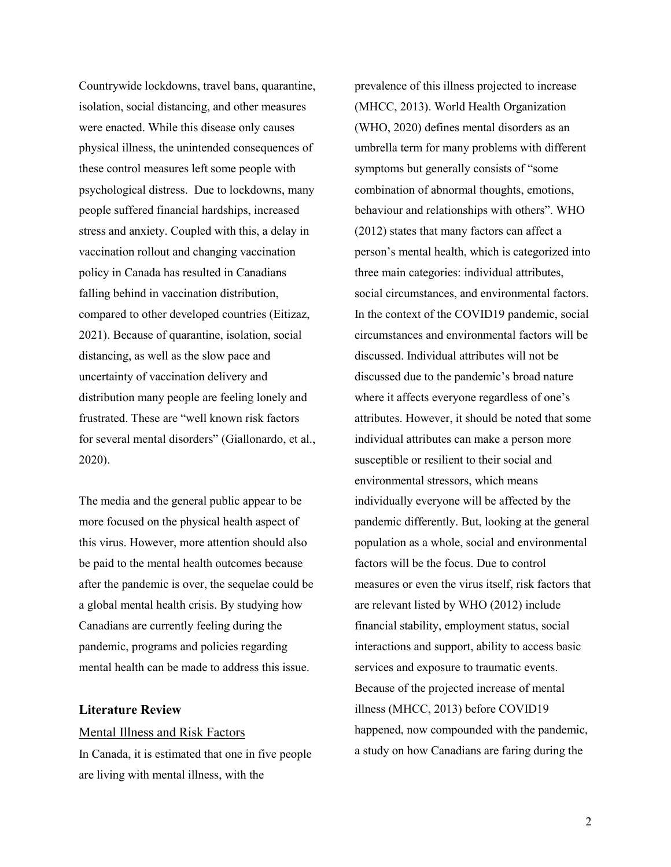Countrywide lockdowns, travel bans, quarantine, isolation, social distancing, and other measures were enacted. While this disease only causes physical illness, the unintended consequences of these control measures left some people with psychological distress. Due to lockdowns, many people suffered financial hardships, increased stress and anxiety. Coupled with this, a delay in vaccination rollout and changing vaccination policy in Canada has resulted in Canadians falling behind in vaccination distribution, compared to other developed countries (Eitizaz, 2021). Because of quarantine, isolation, social distancing, as well as the slow pace and uncertainty of vaccination delivery and distribution many people are feeling lonely and frustrated. These are "well known risk factors for several mental disorders" (Giallonardo, et al., 2020).

The media and the general public appear to be more focused on the physical health aspect of this virus. However, more attention should also be paid to the mental health outcomes because after the pandemic is over, the sequelae could be a global mental health crisis. By studying how Canadians are currently feeling during the pandemic, programs and policies regarding mental health can be made to address this issue.

### **Literature Review**

### Mental Illness and Risk Factors

In Canada, it is estimated that one in five people are living with mental illness, with the

prevalence of this illness projected to increase (MHCC, 2013). World Health Organization (WHO, 2020) defines mental disorders as an umbrella term for many problems with different symptoms but generally consists of "some combination of abnormal thoughts, emotions, behaviour and relationships with others". WHO (2012) states that many factors can affect a person's mental health, which is categorized into three main categories: individual attributes, social circumstances, and environmental factors. In the context of the COVID19 pandemic, social circumstances and environmental factors will be discussed. Individual attributes will not be discussed due to the pandemic's broad nature where it affects everyone regardless of one's attributes. However, it should be noted that some individual attributes can make a person more susceptible or resilient to their social and environmental stressors, which means individually everyone will be affected by the pandemic differently. But, looking at the general population as a whole, social and environmental factors will be the focus. Due to control measures or even the virus itself, risk factors that are relevant listed by WHO (2012) include financial stability, employment status, social interactions and support, ability to access basic services and exposure to traumatic events. Because of the projected increase of mental illness (MHCC, 2013) before COVID19 happened, now compounded with the pandemic, a study on how Canadians are faring during the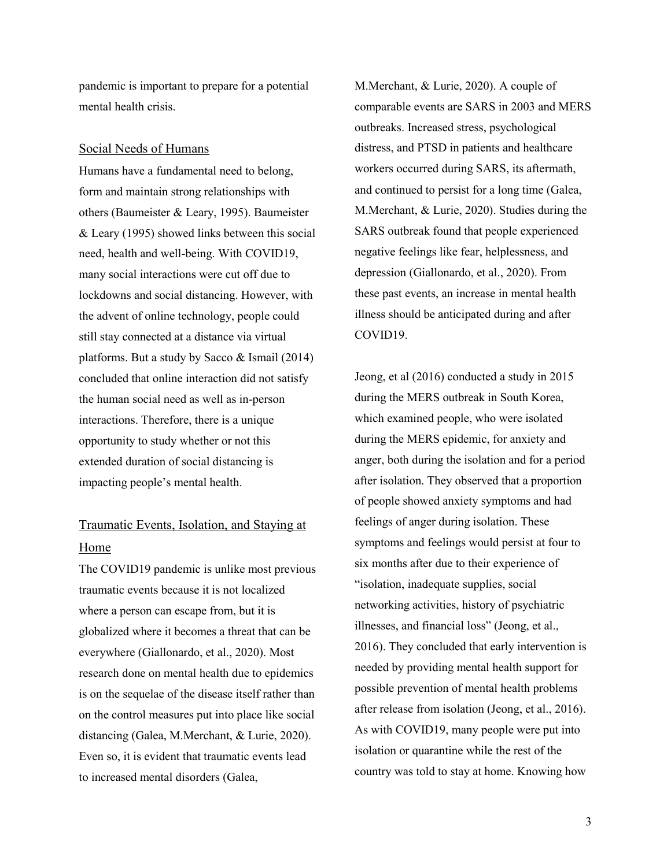pandemic is important to prepare for a potential mental health crisis.

### Social Needs of Humans

Humans have a fundamental need to belong, form and maintain strong relationships with others (Baumeister & Leary, 1995). Baumeister & Leary (1995) showed links between this social need, health and well-being. With COVID19, many social interactions were cut off due to lockdowns and social distancing. However, with the advent of online technology, people could still stay connected at a distance via virtual platforms. But a study by Sacco & Ismail (2014) concluded that online interaction did not satisfy the human social need as well as in-person interactions. Therefore, there is a unique opportunity to study whether or not this extended duration of social distancing is impacting people's mental health.

# Traumatic Events, Isolation, and Staying at Home

The COVID19 pandemic is unlike most previous traumatic events because it is not localized where a person can escape from, but it is globalized where it becomes a threat that can be everywhere (Giallonardo, et al., 2020). Most research done on mental health due to epidemics is on the sequelae of the disease itself rather than on the control measures put into place like social distancing (Galea, M.Merchant, & Lurie, 2020). Even so, it is evident that traumatic events lead to increased mental disorders (Galea,

M.Merchant, & Lurie, 2020). A couple of comparable events are SARS in 2003 and MERS outbreaks. Increased stress, psychological distress, and PTSD in patients and healthcare workers occurred during SARS, its aftermath, and continued to persist for a long time (Galea, M.Merchant, & Lurie, 2020). Studies during the SARS outbreak found that people experienced negative feelings like fear, helplessness, and depression (Giallonardo, et al., 2020). From these past events, an increase in mental health illness should be anticipated during and after COVID19.

Jeong, et al (2016) conducted a study in 2015 during the MERS outbreak in South Korea, which examined people, who were isolated during the MERS epidemic, for anxiety and anger, both during the isolation and for a period after isolation. They observed that a proportion of people showed anxiety symptoms and had feelings of anger during isolation. These symptoms and feelings would persist at four to six months after due to their experience of "isolation, inadequate supplies, social networking activities, history of psychiatric illnesses, and financial loss" (Jeong, et al., 2016). They concluded that early intervention is needed by providing mental health support for possible prevention of mental health problems after release from isolation (Jeong, et al., 2016). As with COVID19, many people were put into isolation or quarantine while the rest of the country was told to stay at home. Knowing how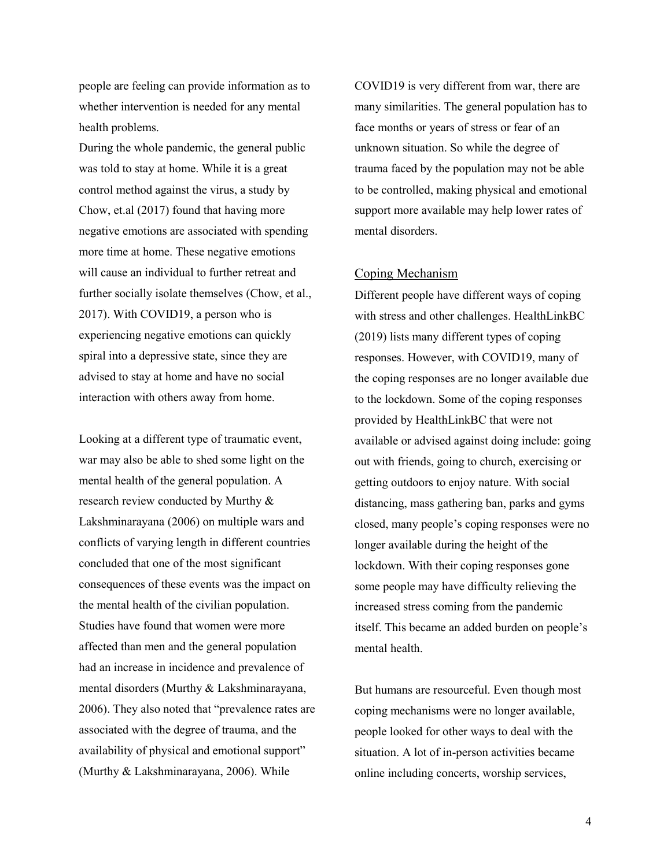people are feeling can provide information as to whether intervention is needed for any mental health problems.

During the whole pandemic, the general public was told to stay at home. While it is a great control method against the virus, a study by Chow, et.al (2017) found that having more negative emotions are associated with spending more time at home. These negative emotions will cause an individual to further retreat and further socially isolate themselves (Chow, et al., 2017). With COVID19, a person who is experiencing negative emotions can quickly spiral into a depressive state, since they are advised to stay at home and have no social interaction with others away from home.

Looking at a different type of traumatic event, war may also be able to shed some light on the mental health of the general population. A research review conducted by Murthy & Lakshminarayana (2006) on multiple wars and conflicts of varying length in different countries concluded that one of the most significant consequences of these events was the impact on the mental health of the civilian population. Studies have found that women were more affected than men and the general population had an increase in incidence and prevalence of mental disorders (Murthy & Lakshminarayana, 2006). They also noted that "prevalence rates are associated with the degree of trauma, and the availability of physical and emotional support" (Murthy & Lakshminarayana, 2006). While

COVID19 is very different from war, there are many similarities. The general population has to face months or years of stress or fear of an unknown situation. So while the degree of trauma faced by the population may not be able to be controlled, making physical and emotional support more available may help lower rates of mental disorders.

### Coping Mechanism

Different people have different ways of coping with stress and other challenges. HealthLinkBC (2019) lists many different types of coping responses. However, with COVID19, many of the coping responses are no longer available due to the lockdown. Some of the coping responses provided by HealthLinkBC that were not available or advised against doing include: going out with friends, going to church, exercising or getting outdoors to enjoy nature. With social distancing, mass gathering ban, parks and gyms closed, many people's coping responses were no longer available during the height of the lockdown. With their coping responses gone some people may have difficulty relieving the increased stress coming from the pandemic itself. This became an added burden on people's mental health.

But humans are resourceful. Even though most coping mechanisms were no longer available, people looked for other ways to deal with the situation. A lot of in-person activities became online including concerts, worship services,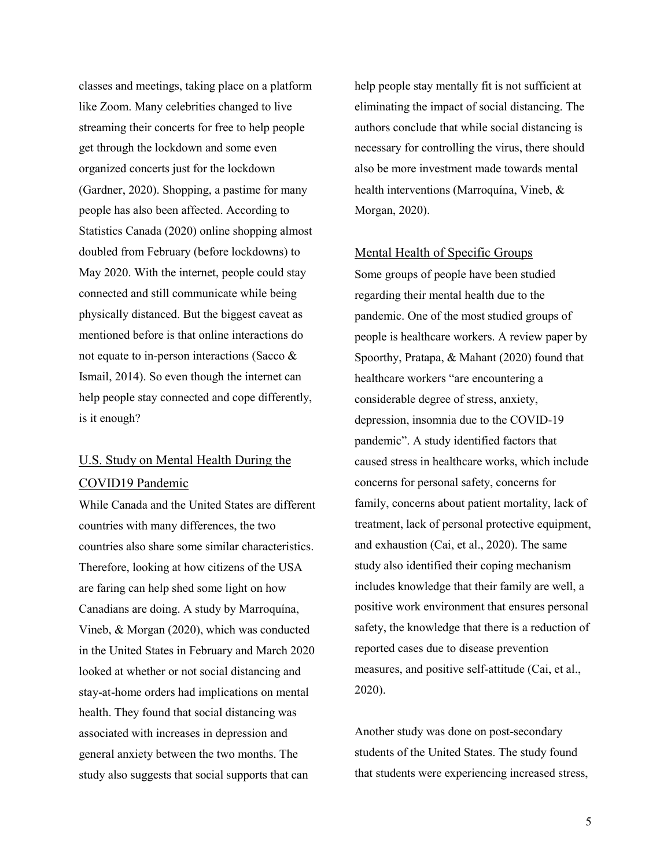classes and meetings, taking place on a platform like Zoom. Many celebrities changed to live streaming their concerts for free to help people get through the lockdown and some even organized concerts just for the lockdown (Gardner, 2020). Shopping, a pastime for many people has also been affected. According to Statistics Canada (2020) online shopping almost doubled from February (before lockdowns) to May 2020. With the internet, people could stay connected and still communicate while being physically distanced. But the biggest caveat as mentioned before is that online interactions do not equate to in-person interactions (Sacco & Ismail, 2014). So even though the internet can help people stay connected and cope differently, is it enough?

# U.S. Study on Mental Health During the COVID19 Pandemic

While Canada and the United States are different countries with many differences, the two countries also share some similar characteristics. Therefore, looking at how citizens of the USA are faring can help shed some light on how Canadians are doing. A study by Marroquína, Vineb, & Morgan (2020), which was conducted in the United States in February and March 2020 looked at whether or not social distancing and stay-at-home orders had implications on mental health. They found that social distancing was associated with increases in depression and general anxiety between the two months. The study also suggests that social supports that can

help people stay mentally fit is not sufficient at eliminating the impact of social distancing. The authors conclude that while social distancing is necessary for controlling the virus, there should also be more investment made towards mental health interventions (Marroquína, Vineb, & Morgan, 2020).

### Mental Health of Specific Groups

Some groups of people have been studied regarding their mental health due to the pandemic. One of the most studied groups of people is healthcare workers. A review paper by Spoorthy, Pratapa, & Mahant (2020) found that healthcare workers "are encountering a considerable degree of stress, anxiety, depression, insomnia due to the COVID-19 pandemic". A study identified factors that caused stress in healthcare works, which include concerns for personal safety, concerns for family, concerns about patient mortality, lack of treatment, lack of personal protective equipment, and exhaustion (Cai, et al., 2020). The same study also identified their coping mechanism includes knowledge that their family are well, a positive work environment that ensures personal safety, the knowledge that there is a reduction of reported cases due to disease prevention measures, and positive self-attitude (Cai, et al., 2020).

Another study was done on post-secondary students of the United States. The study found that students were experiencing increased stress,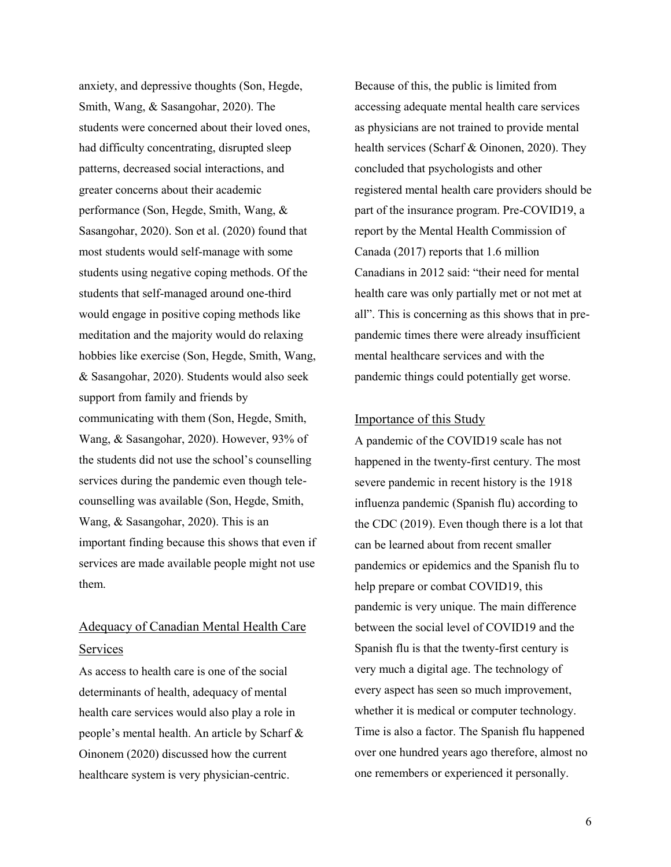anxiety, and depressive thoughts (Son, Hegde, Smith, Wang, & Sasangohar, 2020). The students were concerned about their loved ones, had difficulty concentrating, disrupted sleep patterns, decreased social interactions, and greater concerns about their academic performance (Son, Hegde, Smith, Wang, & Sasangohar, 2020). Son et al. (2020) found that most students would self-manage with some students using negative coping methods. Of the students that self-managed around one-third would engage in positive coping methods like meditation and the majority would do relaxing hobbies like exercise (Son, Hegde, Smith, Wang, & Sasangohar, 2020). Students would also seek support from family and friends by communicating with them (Son, Hegde, Smith, Wang, & Sasangohar, 2020). However, 93% of the students did not use the school's counselling services during the pandemic even though telecounselling was available (Son, Hegde, Smith, Wang, & Sasangohar, 2020). This is an important finding because this shows that even if services are made available people might not use them.

# Adequacy of Canadian Mental Health Care Services

As access to health care is one of the social determinants of health, adequacy of mental health care services would also play a role in people's mental health. An article by Scharf & Oinonem (2020) discussed how the current healthcare system is very physician-centric.

Because of this, the public is limited from accessing adequate mental health care services as physicians are not trained to provide mental health services (Scharf & Oinonen, 2020). They concluded that psychologists and other registered mental health care providers should be part of the insurance program. Pre-COVID19, a report by the Mental Health Commission of Canada (2017) reports that 1.6 million Canadians in 2012 said: "their need for mental health care was only partially met or not met at all". This is concerning as this shows that in prepandemic times there were already insufficient mental healthcare services and with the pandemic things could potentially get worse.

### Importance of this Study

A pandemic of the COVID19 scale has not happened in the twenty-first century. The most severe pandemic in recent history is the 1918 influenza pandemic (Spanish flu) according to the CDC (2019). Even though there is a lot that can be learned about from recent smaller pandemics or epidemics and the Spanish flu to help prepare or combat COVID19, this pandemic is very unique. The main difference between the social level of COVID19 and the Spanish flu is that the twenty-first century is very much a digital age. The technology of every aspect has seen so much improvement, whether it is medical or computer technology. Time is also a factor. The Spanish flu happened over one hundred years ago therefore, almost no one remembers or experienced it personally.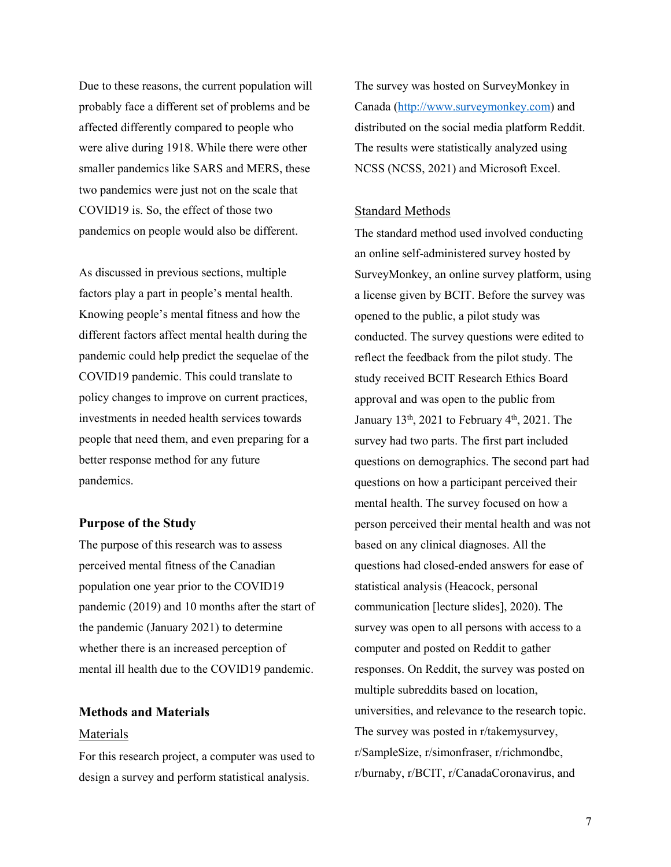Due to these reasons, the current population will probably face a different set of problems and be affected differently compared to people who were alive during 1918. While there were other smaller pandemics like SARS and MERS, these two pandemics were just not on the scale that COVID19 is. So, the effect of those two pandemics on people would also be different.

As discussed in previous sections, multiple factors play a part in people's mental health. Knowing people's mental fitness and how the different factors affect mental health during the pandemic could help predict the sequelae of the COVID19 pandemic. This could translate to policy changes to improve on current practices, investments in needed health services towards people that need them, and even preparing for a better response method for any future pandemics.

### **Purpose of the Study**

The purpose of this research was to assess perceived mental fitness of the Canadian population one year prior to the COVID19 pandemic (2019) and 10 months after the start of the pandemic (January 2021) to determine whether there is an increased perception of mental ill health due to the COVID19 pandemic.

# **Methods and Materials**

### Materials

For this research project, a computer was used to design a survey and perform statistical analysis.

The survey was hosted on SurveyMonkey in Canada [\(http://www.surveymonkey.com\)](http://www.surveymonkey.com/) and distributed on the social media platform Reddit. The results were statistically analyzed using NCSS (NCSS, 2021) and Microsoft Excel.

### Standard Methods

The standard method used involved conducting an online self-administered survey hosted by SurveyMonkey, an online survey platform, using a license given by BCIT. Before the survey was opened to the public, a pilot study was conducted. The survey questions were edited to reflect the feedback from the pilot study. The study received BCIT Research Ethics Board approval and was open to the public from January  $13<sup>th</sup>$ , 2021 to February  $4<sup>th</sup>$ , 2021. The survey had two parts. The first part included questions on demographics. The second part had questions on how a participant perceived their mental health. The survey focused on how a person perceived their mental health and was not based on any clinical diagnoses. All the questions had closed-ended answers for ease of statistical analysis (Heacock, personal communication [lecture slides], 2020). The survey was open to all persons with access to a computer and posted on Reddit to gather responses. On Reddit, the survey was posted on multiple subreddits based on location, universities, and relevance to the research topic. The survey was posted in r/takemysurvey, r/SampleSize, r/simonfraser, r/richmondbc, r/burnaby, r/BCIT, r/CanadaCoronavirus, and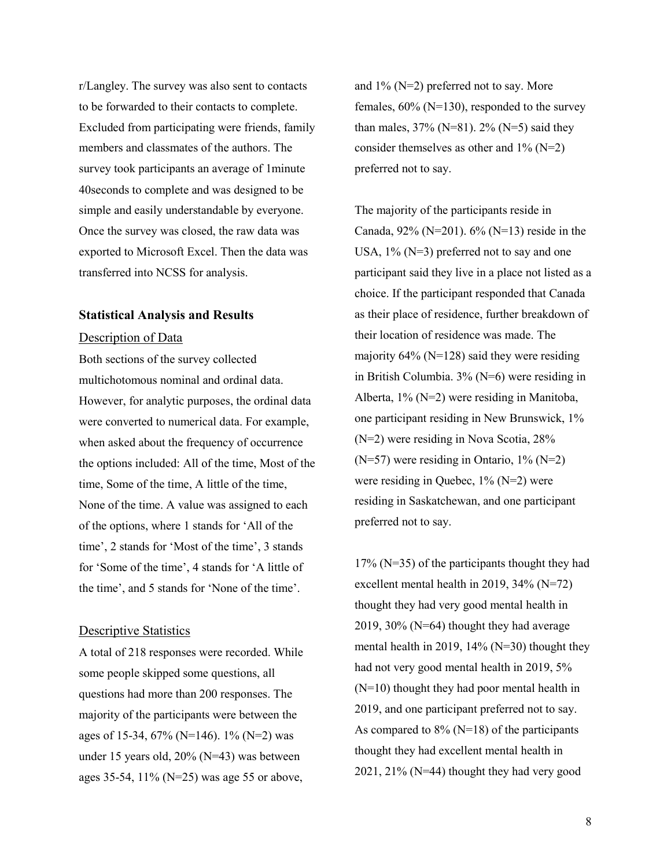r/Langley. The survey was also sent to contacts to be forwarded to their contacts to complete. Excluded from participating were friends, family members and classmates of the authors. The survey took participants an average of 1minute 40seconds to complete and was designed to be simple and easily understandable by everyone. Once the survey was closed, the raw data was exported to Microsoft Excel. Then the data was transferred into NCSS for analysis.

### **Statistical Analysis and Results**

### Description of Data

Both sections of the survey collected multichotomous nominal and ordinal data. However, for analytic purposes, the ordinal data were converted to numerical data. For example, when asked about the frequency of occurrence the options included: All of the time, Most of the time, Some of the time, A little of the time, None of the time. A value was assigned to each of the options, where 1 stands for 'All of the time', 2 stands for 'Most of the time', 3 stands for 'Some of the time', 4 stands for 'A little of the time', and 5 stands for 'None of the time'.

### Descriptive Statistics

A total of 218 responses were recorded. While some people skipped some questions, all questions had more than 200 responses. The majority of the participants were between the ages of 15-34, 67% (N=146). 1% (N=2) was under 15 years old, 20% (N=43) was between ages 35-54, 11% (N=25) was age 55 or above,

and  $1\%$  (N=2) preferred not to say. More females,  $60\%$  (N=130), responded to the survey than males,  $37\%$  (N=81).  $2\%$  (N=5) said they consider themselves as other and  $1\%$  (N=2) preferred not to say.

The majority of the participants reside in Canada,  $92\%$  (N=201).  $6\%$  (N=13) reside in the USA,  $1\%$  (N=3) preferred not to say and one participant said they live in a place not listed as a choice. If the participant responded that Canada as their place of residence, further breakdown of their location of residence was made. The majority  $64\%$  (N=128) said they were residing in British Columbia. 3% (N=6) were residing in Alberta, 1% (N=2) were residing in Manitoba, one participant residing in New Brunswick, 1% (N=2) were residing in Nova Scotia, 28% (N=57) were residing in Ontario, 1% (N=2) were residing in Quebec, 1% (N=2) were residing in Saskatchewan, and one participant preferred not to say.

17% (N=35) of the participants thought they had excellent mental health in 2019, 34% (N=72) thought they had very good mental health in 2019, 30% (N=64) thought they had average mental health in 2019, 14% (N=30) thought they had not very good mental health in 2019, 5% (N=10) thought they had poor mental health in 2019, and one participant preferred not to say. As compared to  $8\%$  (N=18) of the participants thought they had excellent mental health in 2021, 21% (N=44) thought they had very good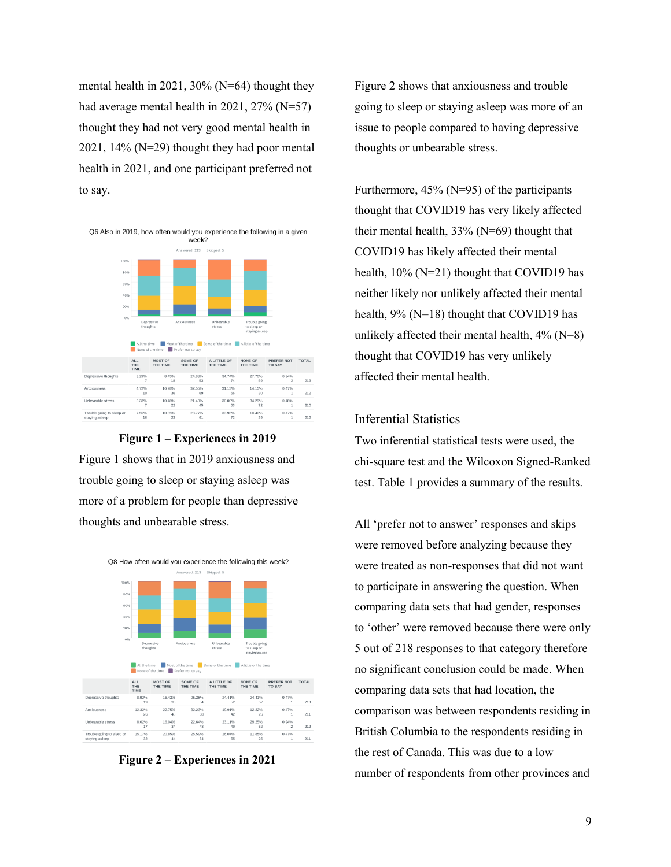mental health in 2021,  $30\%$  (N=64) thought they had average mental health in 2021, 27% (N=57) thought they had not very good mental health in 2021, 14% (N=29) thought they had poor mental health in 2021, and one participant preferred not to say.





Figure 1 shows that in 2019 anxiousness and trouble going to sleep or staying asleep was more of a problem for people than depressive thoughts and unbearable stress.



**Figure 2 – Experiences in 2021**

Figure 2 shows that anxiousness and trouble going to sleep or staying asleep was more of an issue to people compared to having depressive thoughts or unbearable stress.

Furthermore, 45% (N=95) of the participants thought that COVID19 has very likely affected their mental health,  $33\%$  (N=69) thought that COVID19 has likely affected their mental health,  $10\%$  (N=21) thought that COVID19 has neither likely nor unlikely affected their mental health, 9% (N=18) thought that COVID19 has unlikely affected their mental health,  $4\%$  (N=8) thought that COVID19 has very unlikely affected their mental health.

# Inferential Statistics

Two inferential statistical tests were used, the chi-square test and the Wilcoxon Signed-Ranked test. Table 1 provides a summary of the results.

All 'prefer not to answer' responses and skips were removed before analyzing because they were treated as non-responses that did not want to participate in answering the question. When comparing data sets that had gender, responses to 'other' were removed because there were only 5 out of 218 responses to that category therefore no significant conclusion could be made. When comparing data sets that had location, the comparison was between respondents residing in British Columbia to the respondents residing in the rest of Canada. This was due to a low number of respondents from other provinces and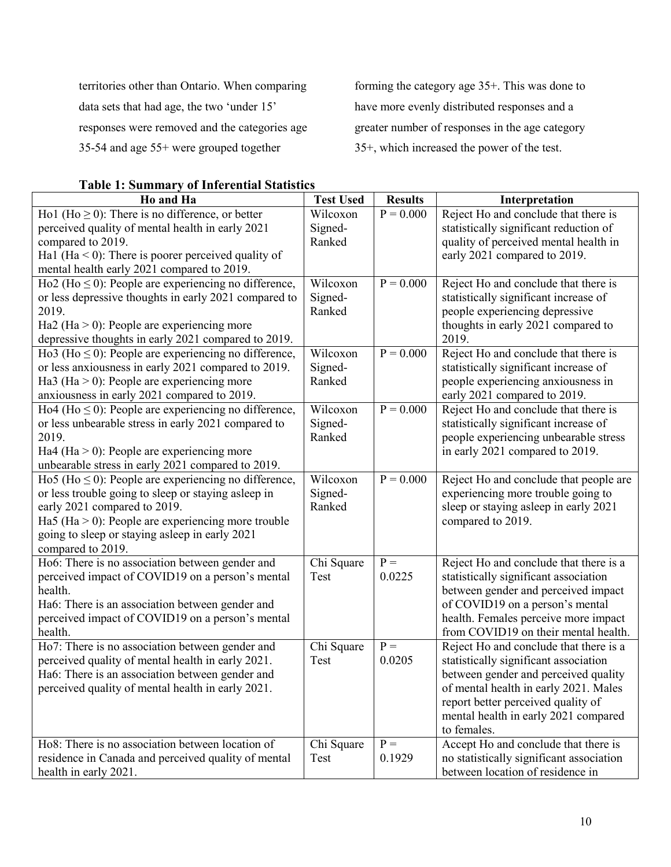territories other than Ontario. When comparing data sets that had age, the two 'under 15' responses were removed and the categories age 35-54 and age 55+ were grouped together

forming the category age 35+. This was done to have more evenly distributed responses and a greater number of responses in the age category 35+, which increased the power of the test.

| <b>Table 1: Summary of Inferential Statistics</b> |  |
|---------------------------------------------------|--|
|                                                   |  |

| Ho and Ha                                                 | <b>Test Used</b> | <b>Results</b> | Interpretation                           |
|-----------------------------------------------------------|------------------|----------------|------------------------------------------|
| Ho1 (Ho $\geq$ 0): There is no difference, or better      | Wilcoxon         | $P = 0.000$    | Reject Ho and conclude that there is     |
| perceived quality of mental health in early 2021          | Signed-          |                | statistically significant reduction of   |
| compared to 2019.                                         | Ranked           |                | quality of perceived mental health in    |
| Ha1 (Ha $<$ 0): There is poorer perceived quality of      |                  |                | early 2021 compared to 2019.             |
| mental health early 2021 compared to 2019.                |                  |                |                                          |
| Ho2 (Ho $\leq$ 0): People are experiencing no difference, | Wilcoxon         | $P = 0.000$    | Reject Ho and conclude that there is     |
| or less depressive thoughts in early 2021 compared to     | Signed-          |                | statistically significant increase of    |
| 2019.                                                     | Ranked           |                | people experiencing depressive           |
| Ha2 (Ha $>$ 0): People are experiencing more              |                  |                | thoughts in early 2021 compared to       |
| depressive thoughts in early 2021 compared to 2019.       |                  |                | 2019.                                    |
| Ho3 (Ho $\leq$ 0): People are experiencing no difference, | Wilcoxon         | $P = 0.000$    | Reject Ho and conclude that there is     |
| or less anxiousness in early 2021 compared to 2019.       | Signed-          |                | statistically significant increase of    |
| Ha3 (Ha $>$ 0): People are experiencing more              | Ranked           |                | people experiencing anxiousness in       |
| anxiousness in early 2021 compared to 2019.               |                  |                | early 2021 compared to 2019.             |
| Ho4 (Ho $\leq$ 0): People are experiencing no difference, | Wilcoxon         | $P = 0.000$    | Reject Ho and conclude that there is     |
| or less unbearable stress in early 2021 compared to       | Signed-          |                | statistically significant increase of    |
| 2019.                                                     | Ranked           |                | people experiencing unbearable stress    |
| Ha4 (Ha $>$ 0): People are experiencing more              |                  |                | in early 2021 compared to 2019.          |
| unbearable stress in early 2021 compared to 2019.         |                  |                |                                          |
| Ho5 (Ho $\leq$ 0): People are experiencing no difference, | Wilcoxon         | $P = 0.000$    | Reject Ho and conclude that people are   |
| or less trouble going to sleep or staying asleep in       | Signed-          |                | experiencing more trouble going to       |
| early 2021 compared to 2019.                              | Ranked           |                | sleep or staying asleep in early 2021    |
| Ha5 (Ha $>$ 0): People are experiencing more trouble      |                  |                | compared to 2019.                        |
| going to sleep or staying asleep in early 2021            |                  |                |                                          |
| compared to 2019.                                         |                  |                |                                          |
| Ho6: There is no association between gender and           | Chi Square       | $P =$          | Reject Ho and conclude that there is a   |
| perceived impact of COVID19 on a person's mental          | Test             | 0.0225         | statistically significant association    |
| health.                                                   |                  |                | between gender and perceived impact      |
| Ha6: There is an association between gender and           |                  |                | of COVID19 on a person's mental          |
| perceived impact of COVID19 on a person's mental          |                  |                | health. Females perceive more impact     |
| health.                                                   |                  |                | from COVID19 on their mental health.     |
| Ho7: There is no association between gender and           | Chi Square       | $P =$          | Reject Ho and conclude that there is a   |
| perceived quality of mental health in early 2021.         | Test             | 0.0205         | statistically significant association    |
| Ha6: There is an association between gender and           |                  |                | between gender and perceived quality     |
| perceived quality of mental health in early 2021.         |                  |                | of mental health in early 2021. Males    |
|                                                           |                  |                | report better perceived quality of       |
|                                                           |                  |                | mental health in early 2021 compared     |
|                                                           |                  |                | to females.                              |
| Ho8: There is no association between location of          | Chi Square       | $P =$          | Accept Ho and conclude that there is     |
| residence in Canada and perceived quality of mental       | Test             | 0.1929         | no statistically significant association |
| health in early 2021.                                     |                  |                | between location of residence in         |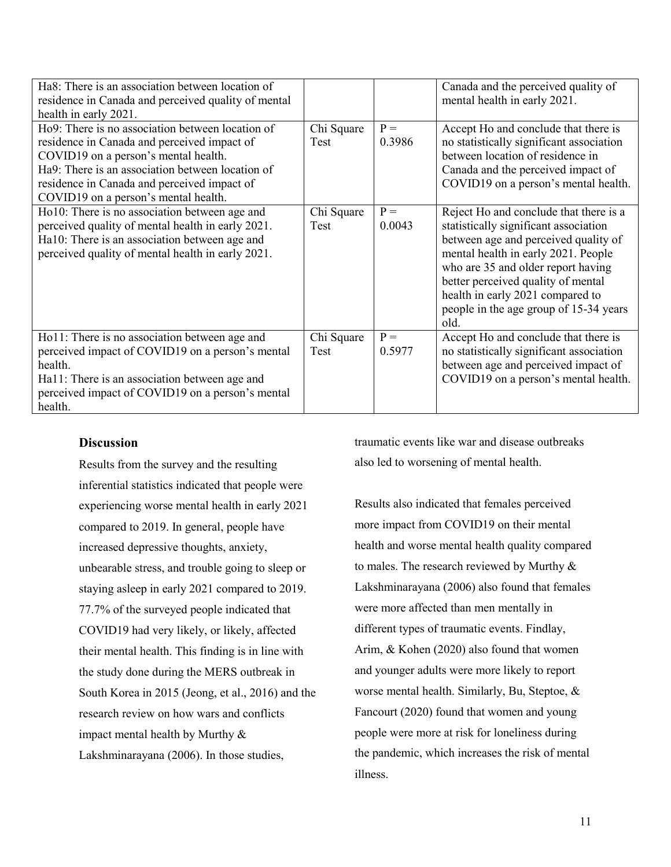| Ha8: There is an association between location of    |            |        | Canada and the perceived quality of      |
|-----------------------------------------------------|------------|--------|------------------------------------------|
| residence in Canada and perceived quality of mental |            |        | mental health in early 2021.             |
| health in early 2021.                               |            |        |                                          |
| Ho9: There is no association between location of    | Chi Square | $P =$  | Accept Ho and conclude that there is     |
| residence in Canada and perceived impact of         | Test       | 0.3986 | no statistically significant association |
| COVID19 on a person's mental health.                |            |        | between location of residence in         |
| Ha9: There is an association between location of    |            |        | Canada and the perceived impact of       |
| residence in Canada and perceived impact of         |            |        | COVID19 on a person's mental health.     |
| COVID19 on a person's mental health.                |            |        |                                          |
| Ho10: There is no association between age and       | Chi Square | $P =$  | Reject Ho and conclude that there is a   |
| perceived quality of mental health in early 2021.   | Test       | 0.0043 | statistically significant association    |
| Ha10: There is an association between age and       |            |        | between age and perceived quality of     |
| perceived quality of mental health in early 2021.   |            |        | mental health in early 2021. People      |
|                                                     |            |        | who are 35 and older report having       |
|                                                     |            |        | better perceived quality of mental       |
|                                                     |            |        | health in early 2021 compared to         |
|                                                     |            |        | people in the age group of 15-34 years   |
|                                                     |            |        | old.                                     |
| Ho11: There is no association between age and       | Chi Square | $P =$  | Accept Ho and conclude that there is     |
| perceived impact of COVID19 on a person's mental    | Test       | 0.5977 | no statistically significant association |
| health.                                             |            |        | between age and perceived impact of      |
| Hall: There is an association between age and       |            |        | COVID19 on a person's mental health.     |
| perceived impact of COVID19 on a person's mental    |            |        |                                          |
| health.                                             |            |        |                                          |

# **Discussion**

Results from the survey and the resulting inferential statistics indicated that people were experiencing worse mental health in early 2021 compared to 2019. In general, people have increased depressive thoughts, anxiety, unbearable stress, and trouble going to sleep or staying asleep in early 2021 compared to 2019. 77.7% of the surveyed people indicated that COVID19 had very likely, or likely, affected their mental health. This finding is in line with the study done during the MERS outbreak in South Korea in 2015 (Jeong, et al., 2016) and the research review on how wars and conflicts impact mental health by Murthy & Lakshminarayana (2006). In those studies,

traumatic events like war and disease outbreaks also led to worsening of mental health.

Results also indicated that females perceived more impact from COVID19 on their mental health and worse mental health quality compared to males. The research reviewed by Murthy & Lakshminarayana (2006) also found that females were more affected than men mentally in different types of traumatic events. Findlay, Arim, & Kohen (2020) also found that women and younger adults were more likely to report worse mental health. Similarly, Bu, Steptoe, & Fancourt (2020) found that women and young people were more at risk for loneliness during the pandemic, which increases the risk of mental illness.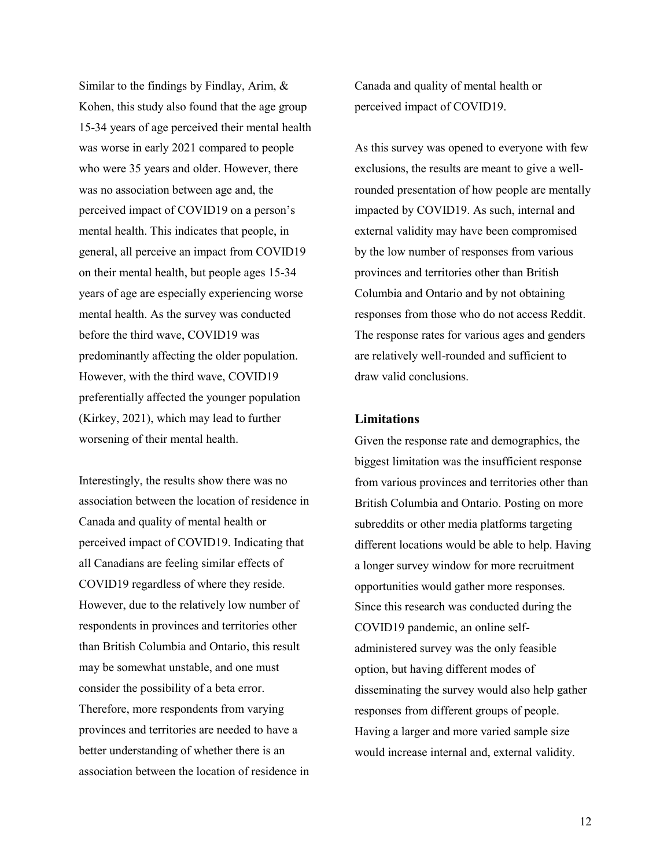Similar to the findings by Findlay, Arim, & Kohen, this study also found that the age group 15-34 years of age perceived their mental health was worse in early 2021 compared to people who were 35 years and older. However, there was no association between age and, the perceived impact of COVID19 on a person's mental health. This indicates that people, in general, all perceive an impact from COVID19 on their mental health, but people ages 15-34 years of age are especially experiencing worse mental health. As the survey was conducted before the third wave, COVID19 was predominantly affecting the older population. However, with the third wave, COVID19 preferentially affected the younger population (Kirkey, 2021), which may lead to further worsening of their mental health.

Interestingly, the results show there was no association between the location of residence in Canada and quality of mental health or perceived impact of COVID19. Indicating that all Canadians are feeling similar effects of COVID19 regardless of where they reside. However, due to the relatively low number of respondents in provinces and territories other than British Columbia and Ontario, this result may be somewhat unstable, and one must consider the possibility of a beta error. Therefore, more respondents from varying provinces and territories are needed to have a better understanding of whether there is an association between the location of residence in Canada and quality of mental health or perceived impact of COVID19.

As this survey was opened to everyone with few exclusions, the results are meant to give a wellrounded presentation of how people are mentally impacted by COVID19. As such, internal and external validity may have been compromised by the low number of responses from various provinces and territories other than British Columbia and Ontario and by not obtaining responses from those who do not access Reddit. The response rates for various ages and genders are relatively well-rounded and sufficient to draw valid conclusions.

### **Limitations**

Given the response rate and demographics, the biggest limitation was the insufficient response from various provinces and territories other than British Columbia and Ontario. Posting on more subreddits or other media platforms targeting different locations would be able to help. Having a longer survey window for more recruitment opportunities would gather more responses. Since this research was conducted during the COVID19 pandemic, an online selfadministered survey was the only feasible option, but having different modes of disseminating the survey would also help gather responses from different groups of people. Having a larger and more varied sample size would increase internal and, external validity.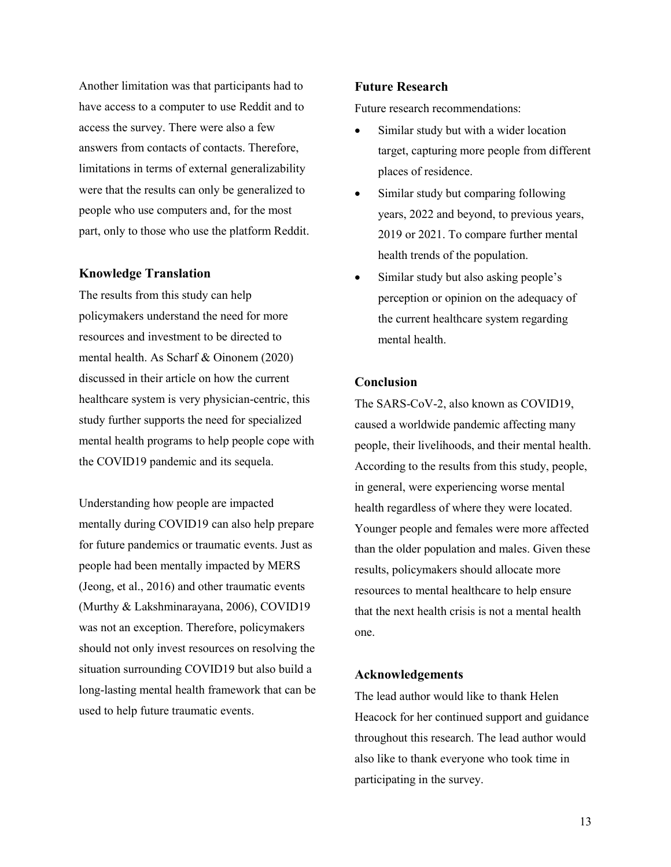Another limitation was that participants had to have access to a computer to use Reddit and to access the survey. There were also a few answers from contacts of contacts. Therefore, limitations in terms of external generalizability were that the results can only be generalized to people who use computers and, for the most part, only to those who use the platform Reddit.

### **Knowledge Translation**

The results from this study can help policymakers understand the need for more resources and investment to be directed to mental health. As Scharf & Oinonem (2020) discussed in their article on how the current healthcare system is very physician-centric, this study further supports the need for specialized mental health programs to help people cope with the COVID19 pandemic and its sequela.

Understanding how people are impacted mentally during COVID19 can also help prepare for future pandemics or traumatic events. Just as people had been mentally impacted by MERS (Jeong, et al., 2016) and other traumatic events (Murthy & Lakshminarayana, 2006), COVID19 was not an exception. Therefore, policymakers should not only invest resources on resolving the situation surrounding COVID19 but also build a long-lasting mental health framework that can be used to help future traumatic events.

## **Future Research**

Future research recommendations:

- Similar study but with a wider location target, capturing more people from different places of residence.
- Similar study but comparing following years, 2022 and beyond, to previous years, 2019 or 2021. To compare further mental health trends of the population.
- Similar study but also asking people's perception or opinion on the adequacy of the current healthcare system regarding mental health.

### **Conclusion**

The SARS-CoV-2, also known as COVID19, caused a worldwide pandemic affecting many people, their livelihoods, and their mental health. According to the results from this study, people, in general, were experiencing worse mental health regardless of where they were located. Younger people and females were more affected than the older population and males. Given these results, policymakers should allocate more resources to mental healthcare to help ensure that the next health crisis is not a mental health one.

## **Acknowledgements**

The lead author would like to thank Helen Heacock for her continued support and guidance throughout this research. The lead author would also like to thank everyone who took time in participating in the survey.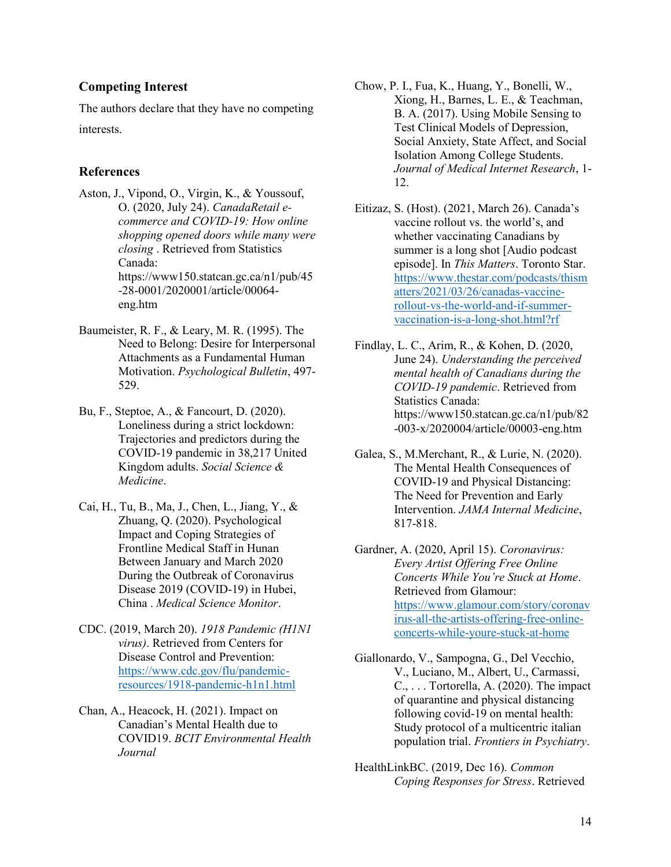# **Competing Interest**

The authors declare that they have no competing interests.

## **References**

- Aston, J., Vipond, O., Virgin, K., & Youssouf, O. (2020, July 24). *CanadaRetail ecommerce and COVID-19: How online shopping opened doors while many were closing* . Retrieved from Statistics Canada: https://www150.statcan.gc.ca/n1/pub/45 -28-0001/2020001/article/00064 eng.htm
- Baumeister, R. F., & Leary, M. R. (1995). The Need to Belong: Desire for Interpersonal Attachments as a Fundamental Human Motivation. *Psychological Bulletin*, 497- 529.
- Bu, F., Steptoe, A., & Fancourt, D. (2020). Loneliness during a strict lockdown: Trajectories and predictors during the COVID-19 pandemic in 38,217 United Kingdom adults. *Social Science & Medicine*.
- Cai, H., Tu, B., Ma, J., Chen, L., Jiang, Y., & Zhuang, Q. (2020). Psychological Impact and Coping Strategies of Frontline Medical Staff in Hunan Between January and March 2020 During the Outbreak of Coronavirus Disease 2019 (COVID-19) in Hubei, China . *Medical Science Monitor*.
- CDC. (2019, March 20). *1918 Pandemic (H1N1 virus)*. Retrieved from Centers for Disease Control and Prevention: [https://www.cdc.gov/flu/pandemic](https://www.cdc.gov/flu/pandemic-resources/1918-pandemic-h1n1.html)[resources/1918-pandemic-h1n1.html](https://www.cdc.gov/flu/pandemic-resources/1918-pandemic-h1n1.html)
- Chan, A., Heacock, H. (2021). Impact on Canadian's Mental Health due to COVID19. *BCIT Environmental Health Journal*
- Chow, P. I., Fua, K., Huang, Y., Bonelli, W., Xiong, H., Barnes, L. E., & Teachman, B. A. (2017). Using Mobile Sensing to Test Clinical Models of Depression, Social Anxiety, State Affect, and Social Isolation Among College Students. *Journal of Medical Internet Research*, 1- 12.
- Eitizaz, S. (Host). (2021, March 26). Canada's vaccine rollout vs. the world's, and whether vaccinating Canadians by summer is a long shot [Audio podcast episode]. In *This Matters*. Toronto Star. [https://www.thestar.com/podcasts/thism](https://www.thestar.com/podcasts/thismatters/2021/03/26/canadas-vaccine-rollout-vs-the-world-and-if-summer-vaccination-is-a-long-shot.html?rf) [atters/2021/03/26/canadas-vaccine](https://www.thestar.com/podcasts/thismatters/2021/03/26/canadas-vaccine-rollout-vs-the-world-and-if-summer-vaccination-is-a-long-shot.html?rf)[rollout-vs-the-world-and-if-summer](https://www.thestar.com/podcasts/thismatters/2021/03/26/canadas-vaccine-rollout-vs-the-world-and-if-summer-vaccination-is-a-long-shot.html?rf)[vaccination-is-a-long-shot.html?rf](https://www.thestar.com/podcasts/thismatters/2021/03/26/canadas-vaccine-rollout-vs-the-world-and-if-summer-vaccination-is-a-long-shot.html?rf)
- Findlay, L. C., Arim, R., & Kohen, D. (2020, June 24). *Understanding the perceived mental health of Canadians during the COVID-19 pandemic*. Retrieved from Statistics Canada: https://www150.statcan.gc.ca/n1/pub/82 -003-x/2020004/article/00003-eng.htm
- Galea, S., M.Merchant, R., & Lurie, N. (2020). The Mental Health Consequences of COVID-19 and Physical Distancing: The Need for Prevention and Early Intervention. *JAMA Internal Medicine*, 817-818.
- Gardner, A. (2020, April 15). *Coronavirus: Every Artist Offering Free Online Concerts While You're Stuck at Home*. Retrieved from Glamour: [https://www.glamour.com/story/coronav](https://www.glamour.com/story/coronavirus-all-the-artists-offering-free-online-concerts-while-youre-stuck-at-home) [irus-all-the-artists-offering-free-online](https://www.glamour.com/story/coronavirus-all-the-artists-offering-free-online-concerts-while-youre-stuck-at-home)[concerts-while-youre-stuck-at-home](https://www.glamour.com/story/coronavirus-all-the-artists-offering-free-online-concerts-while-youre-stuck-at-home)
- Giallonardo, V., Sampogna, G., Del Vecchio, V., Luciano, M., Albert, U., Carmassi, C., . . . Tortorella, A. (2020). The impact of quarantine and physical distancing following covid-19 on mental health: Study protocol of a multicentric italian population trial. *Frontiers in Psychiatry*.
- HealthLinkBC. (2019, Dec 16). *Common Coping Responses for Stress*. Retrieved